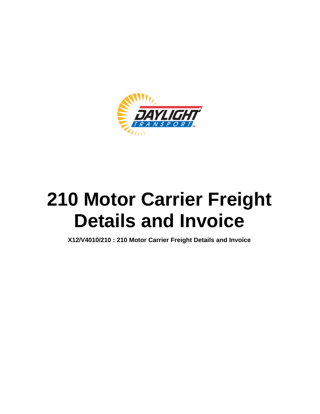

# **210 Motor Carrier Freight Details and Invoice**

**X12/V4010/210 : 210 Motor Carrier Freight Details and Invoice**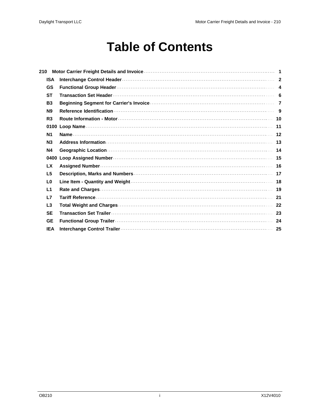### **Table of Contents**

| 210            |  |
|----------------|--|
| <b>ISA</b>     |  |
| <b>GS</b>      |  |
| <b>ST</b>      |  |
| <b>B3</b>      |  |
| <b>N9</b>      |  |
| R <sub>3</sub> |  |
|                |  |
| N <sub>1</sub> |  |
| N <sub>3</sub> |  |
| <b>N4</b>      |  |
|                |  |
| <b>LX</b>      |  |
| L <sub>5</sub> |  |
| L <sub>0</sub> |  |
| L1             |  |
| L7             |  |
| L3             |  |
| <b>SE</b>      |  |
| <b>GE</b>      |  |
| <b>IEA</b>     |  |

 $\hat{\mathbf{I}}$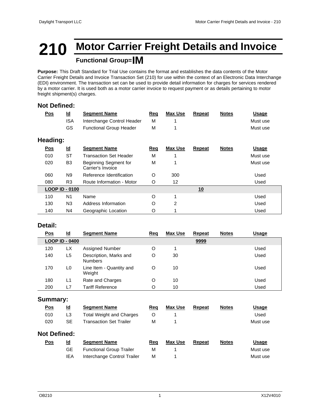### **210 Motor Carrier Freight Details and Invoice Functional Group=IM**

**Purpose:** This Draft Standard for Trial Use contains the format and establishes the data contents of the Motor Carrier Freight Details and Invoice Transaction Set (210) for use within the context of an Electronic Data Interchange (EDI) environment. The transaction set can be used to provide detail information for charges for services rendered by a motor carrier. It is used both as a motor carrier invoice to request payment or as details pertaining to motor freight shipment(s) charges.

#### **Not Defined:**

| <u>Pos</u>      | $\underline{\mathsf{Id}}$ | <b>Segment Name</b>                        | Req     | <b>Max Use</b> | Repeat        | <b>Notes</b> | <b>Usage</b> |
|-----------------|---------------------------|--------------------------------------------|---------|----------------|---------------|--------------|--------------|
|                 | <b>ISA</b>                | Interchange Control Header                 | M       |                |               |              | Must use     |
|                 | GS                        | <b>Functional Group Header</b>             | M       |                |               |              | Must use     |
| <b>Heading:</b> |                           |                                            |         |                |               |              |              |
| <u>Pos</u>      | $\underline{\mathsf{Id}}$ | <b>Segment Name</b>                        | Req     | <b>Max Use</b> | <b>Repeat</b> | <b>Notes</b> | <b>Usage</b> |
| 010             | <b>ST</b>                 | <b>Transaction Set Header</b>              | M       |                |               |              | Must use     |
| 020             | B <sub>3</sub>            | Beginning Segment for<br>Carrier's Invoice | M       |                |               |              | Must use     |
| 060             | N <sub>9</sub>            | Reference Identification                   | O       | 300            |               |              | Used         |
| 080             | R <sub>3</sub>            | Route Information - Motor                  | O       | 12             |               |              | Used         |
|                 | <b>LOOP ID - 0100</b>     |                                            |         |                | 10            |              |              |
| 110             | N <sub>1</sub>            | Name                                       | $\circ$ |                |               |              | Used         |
| 130             | N <sub>3</sub>            | Address Information                        | O       | 2              |               |              | Used         |
| 140             | N4                        | Geographic Location                        | O       |                |               |              | Used         |

#### **Detail:**

| <u>Pos</u> | $\underline{\mathsf{Id}}$ | <b>Segment Name</b>                      | <u>Req</u> | <b>Max Use</b> | Repeat | <b>Notes</b> | <b>Usage</b> |
|------------|---------------------------|------------------------------------------|------------|----------------|--------|--------------|--------------|
|            | <b>LOOP ID - 0400</b>     |                                          |            |                | 9999   |              |              |
| 120        | LX                        | Assigned Number                          | O          |                |        |              | Used         |
| 140        | L5                        | Description, Marks and<br><b>Numbers</b> | O          | 30             |        |              | Used         |
| 170        | L0                        | Line Item - Quantity and<br>Weight       | O          | 10             |        |              | Used         |
| 180        | L1                        | Rate and Charges                         | O          | 10             |        |              | Used         |
| 200        | L7                        | Tariff Reference                         | O          | 10             |        |              | Used         |

#### **Summary:**

| $\underline{\mathsf{Pos}}$ | <u>ld</u>                 | <b>Segment Name</b>             | <u>Req</u> | Max Use        | Repeat | <b>Notes</b> | <u>Usage</u> |  |
|----------------------------|---------------------------|---------------------------------|------------|----------------|--------|--------------|--------------|--|
| 010                        | L <sub>3</sub>            | <b>Total Weight and Charges</b> | O          |                |        |              | Used         |  |
| 020                        | <b>SE</b>                 | Transaction Set Trailer         | М          |                |        |              | Must use     |  |
| <b>Not Defined:</b>        |                           |                                 |            |                |        |              |              |  |
| <u>Pos</u>                 | $\underline{\mathsf{Id}}$ | <b>Segment Name</b>             | Req        | <b>Max Use</b> | Repeat | <b>Notes</b> | <u>Usage</u> |  |
|                            | GЕ                        | <b>Functional Group Trailer</b> | М          |                |        |              | Must use     |  |
|                            | IEA                       | Interchange Control Trailer     | M          |                |        |              | Must use     |  |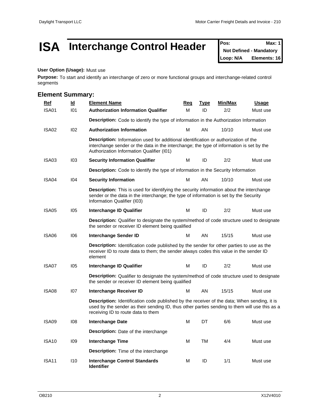### **ISA** Interchange Control Header Pos: Max: 1

**Not Defined - Mandatory Loop: N/A Elements: 16**

#### **User Option (Usage):** Must use

**Purpose:** To start and identify an interchange of zero or more functional groups and interchange-related control segments

#### **Element Summary:**

| <b>Ref</b>        | $\underline{\mathsf{Id}}$ | <b>Element Name</b>                                                                                                                                                                                                                 | Req | Type | Min/Max | <b>Usage</b> |  |  |  |  |
|-------------------|---------------------------|-------------------------------------------------------------------------------------------------------------------------------------------------------------------------------------------------------------------------------------|-----|------|---------|--------------|--|--|--|--|
| ISA01             | 101                       | <b>Authorization Information Qualifier</b>                                                                                                                                                                                          | м   | ID   | 2/2     | Must use     |  |  |  |  |
|                   |                           | Description: Code to identify the type of information in the Authorization Information                                                                                                                                              |     |      |         |              |  |  |  |  |
| ISA02             | 102                       | <b>Authorization Information</b>                                                                                                                                                                                                    | М   | AN   | 10/10   | Must use     |  |  |  |  |
|                   |                           | <b>Description:</b> Information used for additional identification or authorization of the<br>interchange sender or the data in the interchange; the type of information is set by the<br>Authorization Information Qualifier (I01) |     |      |         |              |  |  |  |  |
| ISA03             | 103                       | <b>Security Information Qualifier</b>                                                                                                                                                                                               | Μ   | ID   | 2/2     | Must use     |  |  |  |  |
|                   |                           | Description: Code to identify the type of information in the Security Information                                                                                                                                                   |     |      |         |              |  |  |  |  |
| ISA04             | 104                       | <b>Security Information</b>                                                                                                                                                                                                         | М   | AN   | 10/10   | Must use     |  |  |  |  |
|                   |                           | <b>Description:</b> This is used for identifying the security information about the interchange<br>sender or the data in the interchange; the type of information is set by the Security<br>Information Qualifier (I03)             |     |      |         |              |  |  |  |  |
| ISA05             | 105                       | Interchange ID Qualifier                                                                                                                                                                                                            | М   | ID   | 2/2     | Must use     |  |  |  |  |
|                   |                           | Description: Qualifier to designate the system/method of code structure used to designate<br>the sender or receiver ID element being qualified                                                                                      |     |      |         |              |  |  |  |  |
| ISA06             | 106                       | Interchange Sender ID                                                                                                                                                                                                               | м   | AN   | 15/15   | Must use     |  |  |  |  |
|                   |                           | Description: Identification code published by the sender for other parties to use as the<br>receiver ID to route data to them; the sender always codes this value in the sender ID<br>element                                       |     |      |         |              |  |  |  |  |
| ISA07             | 105                       | Interchange ID Qualifier                                                                                                                                                                                                            | М   | ID   | 2/2     | Must use     |  |  |  |  |
|                   |                           | <b>Description:</b> Qualifier to designate the system/method of code structure used to designate<br>the sender or receiver ID element being qualified                                                                               |     |      |         |              |  |  |  |  |
| ISA08             | 107                       | Interchange Receiver ID                                                                                                                                                                                                             | м   | AN   | 15/15   | Must use     |  |  |  |  |
|                   |                           | Description: Identification code published by the receiver of the data; When sending, it is<br>used by the sender as their sending ID, thus other parties sending to them will use this as a<br>receiving ID to route data to them  |     |      |         |              |  |  |  |  |
| ISA09             | 108                       | <b>Interchange Date</b>                                                                                                                                                                                                             | М   | DT   | 6/6     | Must use     |  |  |  |  |
|                   |                           | <b>Description:</b> Date of the interchange                                                                                                                                                                                         |     |      |         |              |  |  |  |  |
| ISA <sub>10</sub> | 109                       | Interchange Time                                                                                                                                                                                                                    | М   | TM   | 4/4     | Must use     |  |  |  |  |
|                   |                           | <b>Description:</b> Time of the interchange                                                                                                                                                                                         |     |      |         |              |  |  |  |  |
| ISA <sub>11</sub> | 110                       | <b>Interchange Control Standards</b><br><b>Identifier</b>                                                                                                                                                                           | М   | ID   | 1/1     | Must use     |  |  |  |  |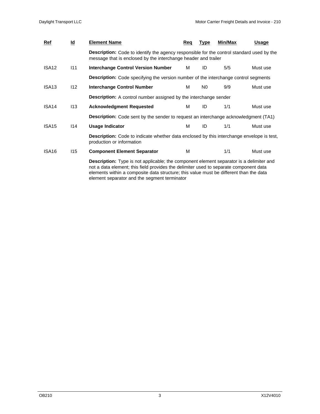| <u>Ref</u>        | $\underline{\mathsf{Id}}$ | <b>Element Name</b>                                                                                                                                                                                                                                                                                                        | Req | Type           | <b>Min/Max</b> | Usage    |  |  |  |  |  |  |
|-------------------|---------------------------|----------------------------------------------------------------------------------------------------------------------------------------------------------------------------------------------------------------------------------------------------------------------------------------------------------------------------|-----|----------------|----------------|----------|--|--|--|--|--|--|
|                   |                           | <b>Description:</b> Code to identify the agency responsible for the control standard used by the<br>message that is enclosed by the interchange header and trailer                                                                                                                                                         |     |                |                |          |  |  |  |  |  |  |
| ISA <sub>12</sub> | 111                       | Interchange Control Version Number                                                                                                                                                                                                                                                                                         | м   | ID             | 5/5            | Must use |  |  |  |  |  |  |
|                   |                           | <b>Description:</b> Code specifying the version number of the interchange control segments                                                                                                                                                                                                                                 |     |                |                |          |  |  |  |  |  |  |
| ISA <sub>13</sub> | 112                       | Interchange Control Number                                                                                                                                                                                                                                                                                                 | м   | N <sub>0</sub> | 9/9            | Must use |  |  |  |  |  |  |
|                   |                           | <b>Description:</b> A control number assigned by the interchange sender                                                                                                                                                                                                                                                    |     |                |                |          |  |  |  |  |  |  |
| ISA <sub>14</sub> | 113                       | <b>Acknowledgment Requested</b>                                                                                                                                                                                                                                                                                            | м   | ID             | 1/1            | Must use |  |  |  |  |  |  |
|                   |                           | <b>Description:</b> Code sent by the sender to request an interchange acknowledgment (TA1)                                                                                                                                                                                                                                 |     |                |                |          |  |  |  |  |  |  |
| ISA <sub>15</sub> | 114                       | <b>Usage Indicator</b>                                                                                                                                                                                                                                                                                                     | м   | ID             | 1/1            | Must use |  |  |  |  |  |  |
|                   |                           | <b>Description:</b> Code to indicate whether data enclosed by this interchange envelope is test,<br>production or information                                                                                                                                                                                              |     |                |                |          |  |  |  |  |  |  |
| ISA <sub>16</sub> | 115                       | <b>Component Element Separator</b>                                                                                                                                                                                                                                                                                         | м   |                | 1/1            | Must use |  |  |  |  |  |  |
|                   |                           | Description: Type is not applicable; the component element separator is a delimiter and<br>not a data element; this field provides the delimiter used to separate component data<br>elements within a composite data structure; this value must be different than the data<br>element separator and the segment terminator |     |                |                |          |  |  |  |  |  |  |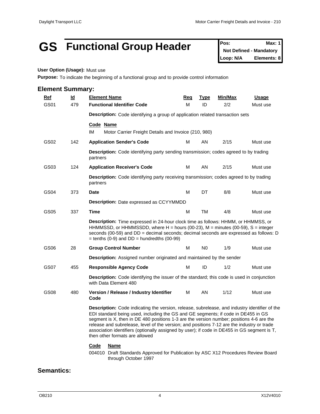### GS **Functional Group Header** Pos: Max: 1

**Not Defined - Mandatory Loop: N/A Elements: 8**

#### **User Option (Usage):** Must use

Purpose: To indicate the beginning of a functional group and to provide control information

| Ref              | $\underline{\mathsf{Id}}$ | <b>Element Name</b>                                                                                                                                                                                                                                                                                                                                                                                                                                                                                           | Red                                                                           | <b>Type</b> | <u>Min/Max</u> | <u>Usage</u> |  |  |  |  |  |
|------------------|---------------------------|---------------------------------------------------------------------------------------------------------------------------------------------------------------------------------------------------------------------------------------------------------------------------------------------------------------------------------------------------------------------------------------------------------------------------------------------------------------------------------------------------------------|-------------------------------------------------------------------------------|-------------|----------------|--------------|--|--|--|--|--|
| GS01             | 479                       | <b>Functional Identifier Code</b>                                                                                                                                                                                                                                                                                                                                                                                                                                                                             | м                                                                             | ID          | 2/2            | Must use     |  |  |  |  |  |
|                  |                           |                                                                                                                                                                                                                                                                                                                                                                                                                                                                                                               | Description: Code identifying a group of application related transaction sets |             |                |              |  |  |  |  |  |
|                  |                           | Code Name                                                                                                                                                                                                                                                                                                                                                                                                                                                                                                     |                                                                               |             |                |              |  |  |  |  |  |
|                  |                           | Motor Carrier Freight Details and Invoice (210, 980)<br>IM                                                                                                                                                                                                                                                                                                                                                                                                                                                    |                                                                               |             |                |              |  |  |  |  |  |
| GS <sub>02</sub> | 142                       | <b>Application Sender's Code</b>                                                                                                                                                                                                                                                                                                                                                                                                                                                                              | м                                                                             | AN.         | 2/15           | Must use     |  |  |  |  |  |
|                  |                           | <b>Description:</b> Code identifying party sending transmission; codes agreed to by trading<br>partners                                                                                                                                                                                                                                                                                                                                                                                                       |                                                                               |             |                |              |  |  |  |  |  |
| GS <sub>03</sub> | 124                       | <b>Application Receiver's Code</b>                                                                                                                                                                                                                                                                                                                                                                                                                                                                            | M                                                                             | AN          | 2/15           | Must use     |  |  |  |  |  |
|                  |                           | Description: Code identifying party receiving transmission; codes agreed to by trading<br>partners                                                                                                                                                                                                                                                                                                                                                                                                            |                                                                               |             |                |              |  |  |  |  |  |
| GS04             | 373                       | <b>Date</b>                                                                                                                                                                                                                                                                                                                                                                                                                                                                                                   | M                                                                             | DT          | 8/8            | Must use     |  |  |  |  |  |
|                  |                           | <b>Description:</b> Date expressed as CCYYMMDD                                                                                                                                                                                                                                                                                                                                                                                                                                                                |                                                                               |             |                |              |  |  |  |  |  |
| GS <sub>05</sub> | 337                       | Time                                                                                                                                                                                                                                                                                                                                                                                                                                                                                                          | М                                                                             | TM          | 4/8            | Must use     |  |  |  |  |  |
|                  |                           | Description: Time expressed in 24-hour clock time as follows: HHMM, or HHMMSS, or<br>HHMMSSD, or HHMMSSDD, where $H =$ hours (00-23), $M =$ minutes (00-59), S = integer<br>seconds (00-59) and DD = decimal seconds; decimal seconds are expressed as follows: D<br>$=$ tenths (0-9) and DD $=$ hundredths (00-99)                                                                                                                                                                                           |                                                                               |             |                |              |  |  |  |  |  |
| GS06             | 28                        | <b>Group Control Number</b>                                                                                                                                                                                                                                                                                                                                                                                                                                                                                   | M                                                                             | N0          | 1/9            | Must use     |  |  |  |  |  |
|                  |                           | <b>Description:</b> Assigned number originated and maintained by the sender                                                                                                                                                                                                                                                                                                                                                                                                                                   |                                                                               |             |                |              |  |  |  |  |  |
| GS07             | 455                       | <b>Responsible Agency Code</b>                                                                                                                                                                                                                                                                                                                                                                                                                                                                                | M                                                                             | ID          | 1/2            | Must use     |  |  |  |  |  |
|                  |                           | Description: Code identifying the issuer of the standard; this code is used in conjunction<br>with Data Element 480                                                                                                                                                                                                                                                                                                                                                                                           |                                                                               |             |                |              |  |  |  |  |  |
| GS08             | 480                       | Version / Release / Industry Identifier<br>Code                                                                                                                                                                                                                                                                                                                                                                                                                                                               | М                                                                             | AN          | 1/12           | Must use     |  |  |  |  |  |
|                  |                           | Description: Code indicating the version, release, subrelease, and industry identifier of the<br>EDI standard being used, including the GS and GE segments; if code in DE455 in GS<br>segment is X, then in DE 480 positions 1-3 are the version number; positions 4-6 are the<br>release and subrelease, level of the version; and positions 7-12 are the industry or trade<br>association identifiers (optionally assigned by user); if code in DE455 in GS segment is T,<br>then other formats are allowed |                                                                               |             |                |              |  |  |  |  |  |
|                  |                           | Code<br><b>Name</b><br>004010 Draft Standards Approved for Publication by ASC X12 Procedures Review Board                                                                                                                                                                                                                                                                                                                                                                                                     |                                                                               |             |                |              |  |  |  |  |  |

004010 Draft Standards Approved for Publication by ASC X12 Procedures Review Board Draft Standards Approved for Publication<br>through October 1997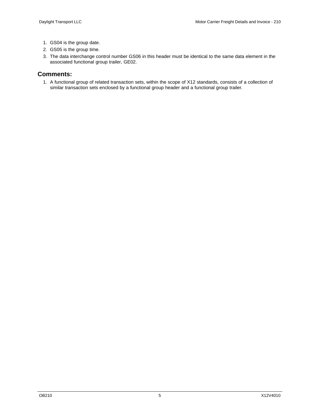- 1. GS04 is the group date.
- 2. GS05 is the group time.
- 3. The data interchange control number GS06 in this header must be identical to the same data element in the associated functional group trailer, GE02.

#### **Comments:**

1. A functional group of related transaction sets, within the scope of X12 standards, consists of a collection of similar transaction sets enclosed by a functional group header and a functional group trailer.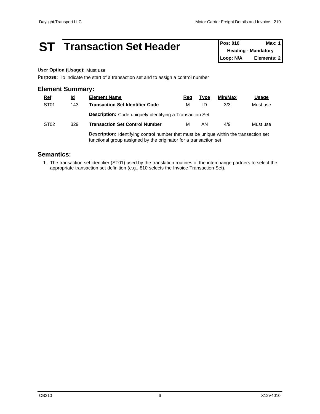### **ST Transaction Set Header Pos: 010 Max: 1**

**Heading - Mandatory Loop: N/A Elements: 2**

#### **User Option (Usage):** Must use

**Purpose:** To indicate the start of a transaction set and to assign a control number

#### **Element Summary:**

| <u>Ref</u>       | <u>ld</u> | <b>Element Name</b>                                                                           | Req | <u>Type</u> | Min/Max | <u>Usage</u> |  |  |  |
|------------------|-----------|-----------------------------------------------------------------------------------------------|-----|-------------|---------|--------------|--|--|--|
| ST <sub>01</sub> | 143       | <b>Transaction Set Identifier Code</b>                                                        | М   | ID          | 3/3     | Must use     |  |  |  |
|                  |           | <b>Description:</b> Code uniquely identifying a Transaction Set                               |     |             |         |              |  |  |  |
| ST <sub>02</sub> | 329       | <b>Transaction Set Control Number</b>                                                         | М   | AN          | 4/9     | Must use     |  |  |  |
|                  |           | <b>Description:</b> Identifying control number that must be unique within the transaction set |     |             |         |              |  |  |  |

**Description:** Identifying control number that must be unique within the transaction set functional group assigned by the originator for a transaction set

#### **Semantics:**

1. The transaction set identifier (ST01) used by the translation routines of the interchange partners to select the appropriate transaction set definition (e.g., 810 selects the Invoice Transaction Set).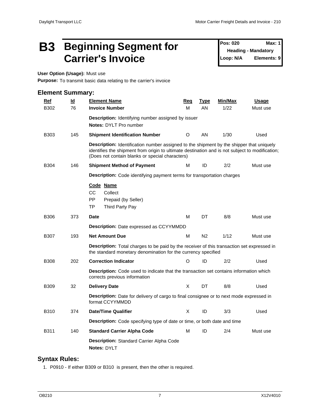### **B3 Beginning Segment for** Pos: 020 Max: 1 Carrier's Invoice Loop: N/A

**Pos: 020 Heading - Mandatory Elements: 9** 

**User Option (Usage):** Must use

**Purpose:** To transmit basic data relating to the carrier's invoice

#### **Element Summary:**

| $Ref$       | $\underline{\mathsf{Id}}$ | <b>Element Name</b>                                                                                                                                                                                                                                   | Req     | <b>Type</b>    | Min/Max | <b>Usage</b> |
|-------------|---------------------------|-------------------------------------------------------------------------------------------------------------------------------------------------------------------------------------------------------------------------------------------------------|---------|----------------|---------|--------------|
| B302        | 76                        | <b>Invoice Number</b>                                                                                                                                                                                                                                 | M       | AN             | 1/22    | Must use     |
|             |                           | Description: Identifying number assigned by issuer                                                                                                                                                                                                    |         |                |         |              |
|             |                           | <b>Notes: DYLT Pro number</b>                                                                                                                                                                                                                         |         |                |         |              |
| B303        | 145                       | <b>Shipment Identification Number</b>                                                                                                                                                                                                                 | $\circ$ | AN             | 1/30    | Used         |
|             |                           | <b>Description:</b> Identification number assigned to the shipment by the shipper that uniquely<br>identifies the shipment from origin to ultimate destination and is not subject to modification;<br>(Does not contain blanks or special characters) |         |                |         |              |
| <b>B304</b> | 146                       | <b>Shipment Method of Payment</b>                                                                                                                                                                                                                     | М       | ID             | 2/2     | Must use     |
|             |                           | <b>Description:</b> Code identifying payment terms for transportation charges                                                                                                                                                                         |         |                |         |              |
|             |                           | Code Name<br>CC.<br>Collect<br>PP<br>Prepaid (by Seller)<br><b>TP</b><br>Third Party Pay                                                                                                                                                              |         |                |         |              |
| <b>B306</b> | 373                       | <b>Date</b>                                                                                                                                                                                                                                           | M       | <b>DT</b>      | 8/8     | Must use     |
|             |                           | Description: Date expressed as CCYYMMDD                                                                                                                                                                                                               |         |                |         |              |
| B307        | 193                       | <b>Net Amount Due</b>                                                                                                                                                                                                                                 | M       | N <sub>2</sub> | $1/12$  | Must use     |
|             |                           | <b>Description:</b> Total charges to be paid by the receiver of this transaction set expressed in<br>the standard monetary denomination for the currency specified                                                                                    |         |                |         |              |
| B308        | 202                       | <b>Correction Indicator</b>                                                                                                                                                                                                                           | O       | ID             | 2/2     | Used         |
|             |                           | <b>Description:</b> Code used to indicate that the transaction set contains information which<br>corrects previous information                                                                                                                        |         |                |         |              |
| <b>B309</b> | 32                        | <b>Delivery Date</b>                                                                                                                                                                                                                                  | X       | DT             | 8/8     | Used         |
|             |                           | Description: Date for delivery of cargo to final consignee or to next mode expressed in<br>format CCYYMMDD                                                                                                                                            |         |                |         |              |
| <b>B310</b> | 374                       | <b>Date/Time Qualifier</b>                                                                                                                                                                                                                            | X       | ID             | 3/3     | Used         |
|             |                           | Description: Code specifying type of date or time, or both date and time                                                                                                                                                                              |         |                |         |              |
| B311        | 140                       | <b>Standard Carrier Alpha Code</b>                                                                                                                                                                                                                    | M       | ID             | 2/4     | Must use     |
|             |                           | Description: Standard Carrier Alpha Code<br>Notes: DYLT                                                                                                                                                                                               |         |                |         |              |

#### **Syntax Rules:**

1. P0910 - If either B309 or B310 is present, then the other is required.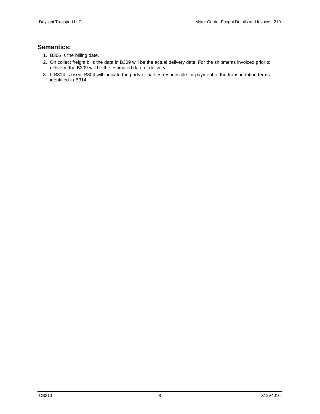- 1. B306 is the billing date.
- 2. On collect freight bills the data in B309 will be the actual delivery date. For the shipments invoiced prior to delivery, the B309 will be the estimated date of delivery.
- 3. If B314 is used, B304 will indicate the party or parties responsible for payment of the transportation terms identified in B314.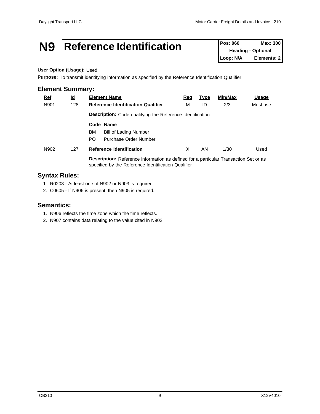### **N9 Reference Identification Pos: 060 Max: 300**

**Heading - Optional Loop: N/A Elements: 2**

#### **User Option (Usage):** Used

**Purpose:** To transmit identifying information as specified by the Reference Identification Qualifier

#### **Element Summary:**

| <b>Ref</b> | <u>ld</u> | <b>Element Name</b>                                                                                                                                | <u>Req</u>                                                       | <b>Type</b> | Min/Max | <u>Usage</u> |  |  |  |  |  |
|------------|-----------|----------------------------------------------------------------------------------------------------------------------------------------------------|------------------------------------------------------------------|-------------|---------|--------------|--|--|--|--|--|
| N901       | 128       | <b>Reference Identification Qualifier</b>                                                                                                          | М                                                                | ID          | 2/3     | Must use     |  |  |  |  |  |
|            |           |                                                                                                                                                    | <b>Description:</b> Code qualifying the Reference Identification |             |         |              |  |  |  |  |  |
|            |           | Code Name<br>BM.<br><b>Bill of Lading Number</b><br>PO.<br>Purchase Order Number                                                                   |                                                                  |             |         |              |  |  |  |  |  |
| N902       | 127       | <b>Reference Identification</b>                                                                                                                    | X                                                                | AN          | 1/30    | Used         |  |  |  |  |  |
|            |           | <b>Description:</b> Reference information as defined for a particular Transaction Set or as<br>specified by the Reference Identification Qualifier |                                                                  |             |         |              |  |  |  |  |  |

#### **Syntax Rules:**

1. R0203 - At least one of N902 or N903 is required.

2. C0605 - If N906 is present, then N905 is required.

- 1. N906 reflects the time zone which the time reflects.
- 2. N907 contains data relating to the value cited in N902.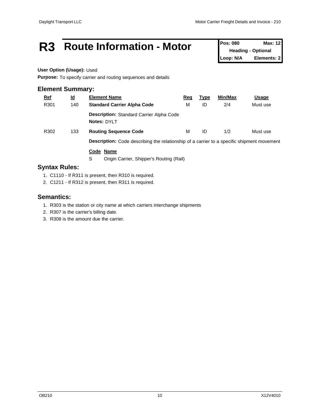### R3 Route Information - Motor Pos: 080 Max: 12

**Heading - Optional Loop: N/A Elements: 2**

#### **User Option (Usage):** Used

**Purpose:** To specify carrier and routing sequences and details

#### **Element Summary:**

| <b>Ref</b> | <u>ld</u> | <b>Element Name</b>                                                                               | <u>Req</u> | <b>Type</b> | Min/Max | <u>Usage</u> |
|------------|-----------|---------------------------------------------------------------------------------------------------|------------|-------------|---------|--------------|
| R301       | 140       | <b>Standard Carrier Alpha Code</b>                                                                | м          | ID          | 2/4     | Must use     |
|            |           | <b>Description: Standard Carrier Alpha Code</b><br>Notes: DYLT                                    |            |             |         |              |
| R302       | 133       | <b>Routing Sequence Code</b>                                                                      | м          | ID          | 1/2     | Must use     |
|            |           | <b>Description:</b> Code describing the relationship of a carrier to a specific shipment movement |            |             |         |              |

#### **Code Name**

S Origin Carrier, Shipper's Routing (Rail)

#### **Syntax Rules:**

- 1. C1110 If R311 is present, then R310 is required.
- 2. C1211 If R312 is present, then R311 is required.

- 1. R303 is the station or city name at which carriers interchange shipments
- 2. R307 is the carrier's billing date.
- 3. R308 is the amount due the carrier.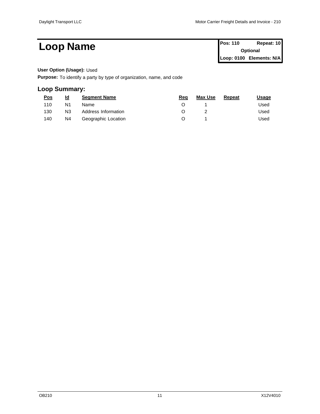**Loop Name Pos: 110 Repeat: 10 Pos: 110 Repeat: 10 Optional Loop: 0100 Elements: N/A**

#### **User Option (Usage):** Used

**Purpose:** To identify a party by type of organization, name, and code

#### **Loop Summary:**

| <u>Pos</u> | $\underline{\mathsf{Id}}$ | <b>Segment Name</b> | Reg | <b>Max Use</b> | <b>Repeat</b> | <u>Usage</u> |
|------------|---------------------------|---------------------|-----|----------------|---------------|--------------|
| 110        | N <sub>1</sub>            | Name                |     |                |               | Used         |
| 130        | N <sub>3</sub>            | Address Information |     |                |               | Used         |
| 140        | N4                        | Geographic Location |     |                |               | Used         |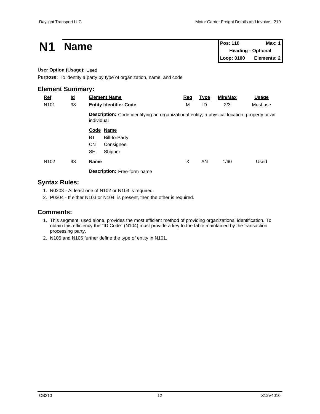| N <sub>1</sub>            |                           | <b>Name</b> |                                                                                             |            |             |            | <b>Pos: 110</b><br>Max: 1<br><b>Heading - Optional</b> |  |  |
|---------------------------|---------------------------|-------------|---------------------------------------------------------------------------------------------|------------|-------------|------------|--------------------------------------------------------|--|--|
|                           |                           |             |                                                                                             |            |             | Loop: 0100 | Elements: 2                                            |  |  |
| User Option (Usage): Used |                           |             |                                                                                             |            |             |            |                                                        |  |  |
|                           |                           |             | Purpose: To identify a party by type of organization, name, and code                        |            |             |            |                                                        |  |  |
| <b>Element Summary:</b>   |                           |             |                                                                                             |            |             |            |                                                        |  |  |
| $Ref$                     | $\underline{\mathsf{Id}}$ |             | <b>Element Name</b>                                                                         | <u>Req</u> | <b>Type</b> | Min/Max    | <u>Usage</u>                                           |  |  |
| N <sub>101</sub>          | 98                        |             | <b>Entity Identifier Code</b>                                                               | м          | ID          | 2/3        | Must use                                               |  |  |
|                           |                           | individual  | Description: Code identifying an organizational entity, a physical location, property or an |            |             |            |                                                        |  |  |
|                           |                           |             | Code Name                                                                                   |            |             |            |                                                        |  |  |
|                           |                           | BT          | <b>Bill-to-Party</b>                                                                        |            |             |            |                                                        |  |  |
|                           |                           | <b>CN</b>   | Consignee                                                                                   |            |             |            |                                                        |  |  |
|                           |                           | <b>SH</b>   | Shipper                                                                                     |            |             |            |                                                        |  |  |
| N <sub>102</sub>          | 93                        | Name        |                                                                                             | X          | AN          | 1/60       | Used                                                   |  |  |
|                           |                           |             | Description: Free-form name                                                                 |            |             |            |                                                        |  |  |

#### **Syntax Rules:**

- 1. R0203 At least one of N102 or N103 is required.
- 2. P0304 If either N103 or N104 is present, then the other is required.

#### **Comments:**

- 1. This segment, used alone, provides the most efficient method of providing organizational identification. To obtain this efficiency the "ID Code" (N104) must provide a key to the table maintained by the transaction processing party.
- 2. N105 and N106 further define the type of entity in N101.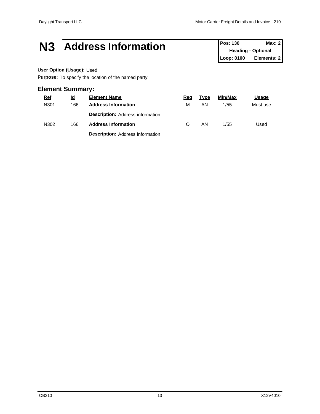### **N3 Address Information Pos: 130 Max: 2**<br>**Pos: 130 Max: 2**

**Heading - Optional Loop: 0100 Elements: 2**

#### **User Option (Usage):** Used

**Purpose:** To specify the location of the named party

#### **Element Summary:**

| $Ref$ | <u>ld</u> | <b>Element Name</b>                     | <u>Req</u> | <b>Type</b> | Min/Max | <u>Usage</u> |  |
|-------|-----------|-----------------------------------------|------------|-------------|---------|--------------|--|
| N301  | 166       | <b>Address Information</b>              | M          | ΑN          | 1/55    | Must use     |  |
|       |           | <b>Description: Address information</b> |            |             |         |              |  |
| N302  | 166       | <b>Address Information</b>              | O          | AN          | 1/55    | Used         |  |
|       |           | <b>Description: Address information</b> |            |             |         |              |  |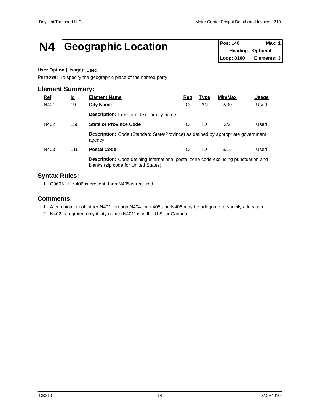### **N4 Geographic Location Pos: 140 Max: 1 Max: 1**

**Heading - Optional Loop: 0100 Elements: 3**

#### **User Option (Usage):** Used

**Purpose:** To specify the geographic place of the named party

#### **Element Summary:**

| <u>Ref</u> | <u>ld</u> | <b>Element Name</b>                                                                                                               | <u>Req</u> | <u>Type</u> | Min/Max | <u>Usage</u> |  |  |  |
|------------|-----------|-----------------------------------------------------------------------------------------------------------------------------------|------------|-------------|---------|--------------|--|--|--|
| N401       | 19        | <b>City Name</b>                                                                                                                  | O          | AN          | 2/30    | Used         |  |  |  |
|            |           | <b>Description:</b> Free-form text for city name                                                                                  |            |             |         |              |  |  |  |
| N402       | 156       | <b>State or Province Code</b>                                                                                                     | O          | ID          | 2/2     | Used         |  |  |  |
|            |           | <b>Description:</b> Code (Standard State/Province) as defined by appropriate government<br>agency                                 |            |             |         |              |  |  |  |
| N403       | 116       | <b>Postal Code</b>                                                                                                                | O          | ID          | 3/15    | Used         |  |  |  |
|            |           | <b>Description:</b> Code defining international postal zone code excluding punctuation and<br>blanks (zip code for United States) |            |             |         |              |  |  |  |

#### **Syntax Rules:**

1. C0605 - If N406 is present, then N405 is required.

#### **Comments:**

- 1. A combination of either N401 through N404, or N405 and N406 may be adequate to specify a location.
- 2. N402 is required only if city name (N401) is in the U.S. or Canada.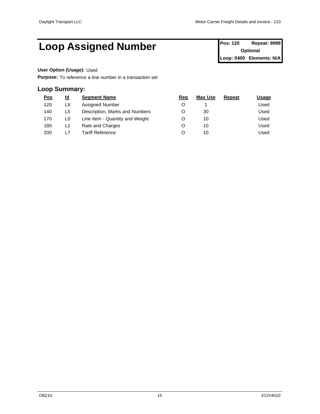### Loop Assigned Number **Pos: 120 Repeat: 9999**

**Optional Loop: 0400 Elements: N/A**

#### **User Option (Usage):** Used

**Purpose:** To reference a line number in a transaction set

#### **Loop Summary:**

| <u>Pos</u> | <u>ld</u> | <b>Segment Name</b>             | Req | <b>Max Use</b> | Repeat | <b>Usage</b> |  |
|------------|-----------|---------------------------------|-----|----------------|--------|--------------|--|
| 120        | LX        | Assigned Number                 |     |                |        | Used         |  |
| 140        | L5.       | Description, Marks and Numbers  |     | 30             |        | Used         |  |
| 170        | L0        | Line Item - Quantity and Weight |     | 10             |        | Used         |  |
| 180        | L1        | Rate and Charges                |     | 10             |        | Used         |  |
| 200        | L7        | Tariff Reference                |     | 10             |        | Used         |  |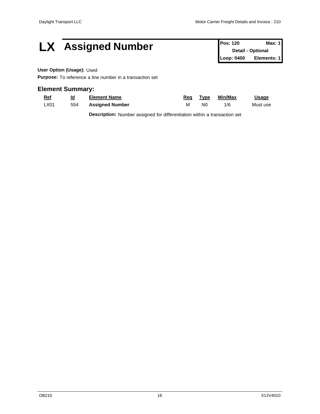## **LX** Assigned Number **Pos: 120 Max: 1 Pos: 120 Max: 1**

**Detail - Optional Loop: 0400 Elements: 1**

#### **User Option (Usage):** Used

**Purpose:** To reference a line number in a transaction set

#### **Element Summary:**

| <b>Ref</b> | <u>ld</u> | Element Name           | Rea | <b>Fvpe</b> | Min/Max | <b>Usage</b> |
|------------|-----------|------------------------|-----|-------------|---------|--------------|
| ∟X01       | 554       | <b>Assigned Number</b> | M   | N0          | 1/6     | Must use     |

**Description:** Number assigned for differentiation within a transaction set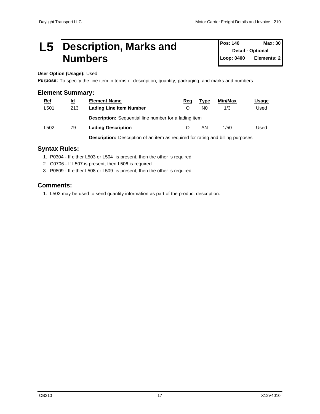### **L5 Description, Marks and Numbers**

**Pos: 140 Max: 30 Detail - Optional Elements: 2** 

**User Option (Usage):** Used

**Purpose:** To specify the line item in terms of description, quantity, packaging, and marks and numbers

#### **Element Summary:**

| $Ref$ | $\underline{\mathsf{Id}}$ | <b>Element Name</b>                                                                    | Req | Type           | Min/Max | <u> Usage</u> |
|-------|---------------------------|----------------------------------------------------------------------------------------|-----|----------------|---------|---------------|
| L501  | 213                       | <b>Lading Line Item Number</b>                                                         |     | N <sub>0</sub> | 1/3     | Used          |
|       |                           | <b>Description:</b> Sequential line number for a lading item                           |     |                |         |               |
| L502  | 79                        | <b>Lading Description</b>                                                              |     | ΑN             | 1/50    | Used          |
|       |                           | <b>Description:</b> Description of an item as required for rating and billing purposes |     |                |         |               |

#### **Syntax Rules:**

- 1. P0304 If either L503 or L504 is present, then the other is required.
- 2. C0706 If L507 is present, then L506 is required.
- 3. P0809 If either L508 or L509 is present, then the other is required.

#### **Comments:**

1. L502 may be used to send quantity information as part of the product description.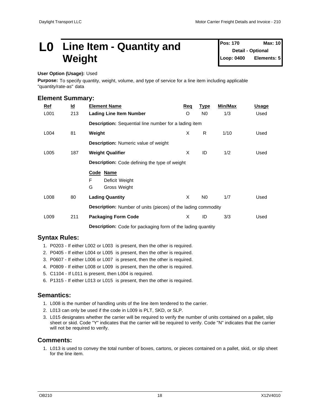### **L0** Line Item - Quantity and Pos: 170 Max: 10 **Weight**

**Pos: 170 Detail - Optional Loop: 0400 Elements: 5**

#### **User Option (Usage):** Used

**Purpose:** To specify quantity, weight, volume, and type of service for a line item including applicable "quantity/rate-as" data

#### **Element Summary:**

| Ref  | $\underline{\mathsf{Id}}$ | <b>Element Name</b>                                                  | Req | <u>Type</u>    | Min/Max | <b>Usage</b> |  |
|------|---------------------------|----------------------------------------------------------------------|-----|----------------|---------|--------------|--|
| L001 | 213                       | <b>Lading Line Item Number</b>                                       | O   | N <sub>0</sub> | 1/3     | Used         |  |
|      |                           | <b>Description:</b> Sequential line number for a lading item         |     |                |         |              |  |
| L004 | 81                        | Weight                                                               | X   | R              | 1/10    | Used         |  |
|      |                           | <b>Description:</b> Numeric value of weight                          |     |                |         |              |  |
| L005 | 187                       | <b>Weight Qualifier</b>                                              | X   | ID             | 1/2     | Used         |  |
|      |                           | <b>Description:</b> Code defining the type of weight                 |     |                |         |              |  |
|      |                           | Code Name                                                            |     |                |         |              |  |
|      |                           | F.<br>Deficit Weight<br>G<br>Gross Weight                            |     |                |         |              |  |
| L008 | 80                        | <b>Lading Quantity</b>                                               | X   | N <sub>0</sub> | 1/7     | Used         |  |
|      |                           | <b>Description:</b> Number of units (pieces) of the lading commodity |     |                |         |              |  |
| L009 | 211                       | <b>Packaging Form Code</b>                                           | X   | ID             | 3/3     | Used         |  |
|      |                           | <b>Description:</b> Code for packaging form of the lading quantity   |     |                |         |              |  |

#### **Syntax Rules:**

- 1. P0203 If either L002 or L003 is present, then the other is required.
- 2. P0405 If either L004 or L005 is present, then the other is required.
- 3. P0607 If either L006 or L007 is present, then the other is required.
- 4. P0809 If either L008 or L009 is present, then the other is required.
- 5. C1104 If L011 is present, then L004 is required.
- 6. P1315 If either L013 or L015 is present, then the other is required.

#### **Semantics:**

- 1. L008 is the number of handling units of the line item tendered to the carrier.
- 2. L013 can only be used if the code in L009 is PLT, SKD, or SLP.
- 3. L015 designates whether the carrier will be required to verify the number of units contained on a pallet, slip sheet or skid. Code "Y" indicates that the carrier will be required to verify. Code "N" indicates that the carrier will not be required to verify.

#### **Comments:**

1. L013 is used to convey the total number of boxes, cartons, or pieces contained on a pallet, skid, or slip sheet for the line item.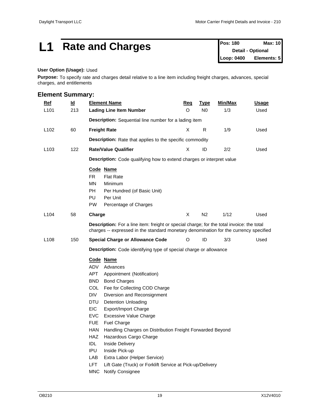### **L1** Rate and Charges **Pos: 180 Max: 10 Pos: 180 Max: 10**

**Detail - Optional Loop: 0400 Elements: 5**

#### **User Option (Usage):** Used

**Purpose:** To specify rate and charges detail relative to a line item including freight charges, advances, special charges, and entitlements

#### **Element Summary:**

| Description: Sequential line number for a lading item                                                                                                                                                                                                                                                                                                                                                                                                                                                            |                             |    |                                                                       |                                                                                                                                                                                                                              |                                                                                                                                                                                            |
|------------------------------------------------------------------------------------------------------------------------------------------------------------------------------------------------------------------------------------------------------------------------------------------------------------------------------------------------------------------------------------------------------------------------------------------------------------------------------------------------------------------|-----------------------------|----|-----------------------------------------------------------------------|------------------------------------------------------------------------------------------------------------------------------------------------------------------------------------------------------------------------------|--------------------------------------------------------------------------------------------------------------------------------------------------------------------------------------------|
|                                                                                                                                                                                                                                                                                                                                                                                                                                                                                                                  |                             |    |                                                                       |                                                                                                                                                                                                                              |                                                                                                                                                                                            |
| <b>Freight Rate</b>                                                                                                                                                                                                                                                                                                                                                                                                                                                                                              | X                           | R  | 1/9                                                                   | Used                                                                                                                                                                                                                         |                                                                                                                                                                                            |
|                                                                                                                                                                                                                                                                                                                                                                                                                                                                                                                  |                             |    |                                                                       |                                                                                                                                                                                                                              |                                                                                                                                                                                            |
|                                                                                                                                                                                                                                                                                                                                                                                                                                                                                                                  |                             |    |                                                                       |                                                                                                                                                                                                                              |                                                                                                                                                                                            |
|                                                                                                                                                                                                                                                                                                                                                                                                                                                                                                                  |                             |    |                                                                       |                                                                                                                                                                                                                              |                                                                                                                                                                                            |
|                                                                                                                                                                                                                                                                                                                                                                                                                                                                                                                  |                             |    |                                                                       |                                                                                                                                                                                                                              |                                                                                                                                                                                            |
| Code Name<br><b>FR</b><br><b>Flat Rate</b><br><b>MN</b><br>Minimum<br>PH<br>Per Hundred (of Basic Unit)<br>PU<br>Per Unit<br><b>PW</b><br>Percentage of Charges                                                                                                                                                                                                                                                                                                                                                  |                             |    |                                                                       |                                                                                                                                                                                                                              |                                                                                                                                                                                            |
| Charge                                                                                                                                                                                                                                                                                                                                                                                                                                                                                                           | X                           | N2 | 1/12                                                                  | Used                                                                                                                                                                                                                         |                                                                                                                                                                                            |
|                                                                                                                                                                                                                                                                                                                                                                                                                                                                                                                  |                             |    |                                                                       |                                                                                                                                                                                                                              |                                                                                                                                                                                            |
| <b>Special Charge or Allowance Code</b>                                                                                                                                                                                                                                                                                                                                                                                                                                                                          | O                           | ID | 3/3                                                                   | Used                                                                                                                                                                                                                         |                                                                                                                                                                                            |
|                                                                                                                                                                                                                                                                                                                                                                                                                                                                                                                  |                             |    |                                                                       |                                                                                                                                                                                                                              |                                                                                                                                                                                            |
| Code Name<br>ADV<br>Advances<br><b>APT</b><br>Appointment (Notification)<br><b>BND</b><br><b>Bond Charges</b><br><b>COL</b><br>Fee for Collecting COD Charge<br><b>DIV</b><br>Diversion and Reconsignment<br><b>DTU</b><br><b>Detention Unloading</b><br><b>EIC</b><br>Export/Import Charge<br><b>EVC</b><br>Excessive Value Charge<br><b>FUE</b><br>Fuel Charge<br>HAN<br>Hazardous Cargo Charge<br>HAZ<br><b>IDL</b><br><b>Inside Delivery</b><br>IPU<br>Inside Pick-up<br>LAB<br>Extra Labor (Helper Service) |                             |    |                                                                       |                                                                                                                                                                                                                              |                                                                                                                                                                                            |
|                                                                                                                                                                                                                                                                                                                                                                                                                                                                                                                  | <b>Rate/Value Qualifier</b> | X  | <b>Description:</b> Rate that applies to the specific commodity<br>ID | 2/2<br><b>Description:</b> Code qualifying how to extend charges or interpret value<br><b>Description:</b> Code identifying type of special charge or allowance<br>Handling Charges on Distribution Freight Forwarded Beyond | Used<br>Description: For a line item: freight or special charge; for the total invoice: the total<br>charges -- expressed in the standard monetary denomination for the currency specified |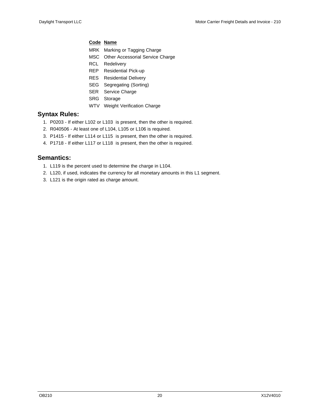#### **Code Name**

- MRK Marking or Tagging Charge
- MSC Other Accessorial Service Charge
- RCL Redelivery
- REP Residential Pick-up
- RES Residential Delivery
- SEG Segregating (Sorting)
- SER Service Charge
- SRG Storage
- WTV Weight Verification Charge

#### **Syntax Rules:**

- 1. P0203 If either L102 or L103 is present, then the other is required.
- 2. R040506 At least one of L104, L105 or L106 is required.
- 3. P1415 If either L114 or L115 is present, then the other is required.
- 4. P1718 If either L117 or L118 is present, then the other is required.

- 1. L119 is the percent used to determine the charge in L104.
- 2. L120, if used, indicates the currency for all monetary amounts in this L1 segment.
- 3. L121 is the origin rated as charge amount.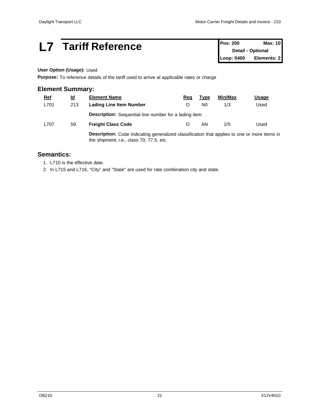### **L7 Tariff Reference Pos: 200 Max: 10**<br>**Pos: 200 Max: 10**

**Detail - Optional Loop: 0400 Elements: 2**

#### **User Option (Usage):** Used

**Purpose:** To reference details of the tariff used to arrive at applicable rates or charge

#### **Element Summary:**

| <u>Ref</u> | <u>ld</u> | <b>Element Name</b>                                                                                                                             | Req | Type | Min/Max | <u>Usage</u> |  |
|------------|-----------|-------------------------------------------------------------------------------------------------------------------------------------------------|-----|------|---------|--------------|--|
| L701       | 213       | <b>Lading Line Item Number</b>                                                                                                                  |     | N0   | 1/3     | Used         |  |
|            |           | <b>Description:</b> Sequential line number for a lading item                                                                                    |     |      |         |              |  |
| L707       | 59        | <b>Freight Class Code</b>                                                                                                                       |     | ΑN   | 2/5     | Used         |  |
|            |           | <b>Description:</b> Code indicating generalized classification that applies to one or more items in<br>the shipment, i.e., class 70, 77.5, etc. |     |      |         |              |  |

**Semantics:** 

1. L710 is the effective date.

2. In L715 and L716, "City" and "State" are used for rate combination city and state.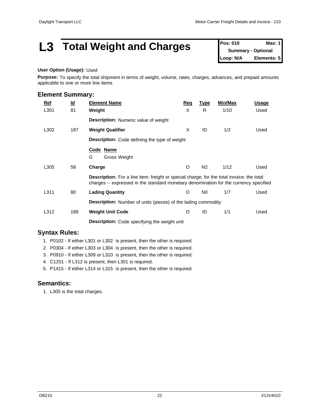### **L3 Total Weight and Charges** Pos: 010 Max: 1

**Summary - Optional Loop: N/A Elements: 5**

#### **User Option (Usage):** Used

**Purpose:** To specify the total shipment in terms of weight, volume, rates, charges, advances, and prepaid amounts applicable to one or more line items

| <b>Element Summary:</b> |           |                                                                                                                                                                                           |            |                |         |              |  |
|-------------------------|-----------|-------------------------------------------------------------------------------------------------------------------------------------------------------------------------------------------|------------|----------------|---------|--------------|--|
| $Ref$                   | <u>ld</u> | <b>Element Name</b>                                                                                                                                                                       | <u>Req</u> | <b>Type</b>    | Min/Max | <u>Usage</u> |  |
| L301                    | 81        | Weight                                                                                                                                                                                    | X          | R.             | 1/10    | Used         |  |
|                         |           | <b>Description:</b> Numeric value of weight                                                                                                                                               |            |                |         |              |  |
| L302                    | 187       | <b>Weight Qualifier</b>                                                                                                                                                                   | X          | ID             | 1/2     | Used         |  |
|                         |           | <b>Description:</b> Code defining the type of weight                                                                                                                                      |            |                |         |              |  |
|                         |           | Code Name<br>G<br>Gross Weight                                                                                                                                                            |            |                |         |              |  |
| L305                    | 58        | Charge                                                                                                                                                                                    | O          | N <sub>2</sub> | 1/12    | Used         |  |
|                         |           | <b>Description:</b> For a line item: freight or special charge; for the total invoice: the total<br>charges -- expressed in the standard monetary denomination for the currency specified |            |                |         |              |  |
| L311                    | 80        | <b>Lading Quantity</b>                                                                                                                                                                    | $\circ$    | N <sub>0</sub> | 1/7     | Used         |  |
|                         |           | <b>Description:</b> Number of units (pieces) of the lading commodity                                                                                                                      |            |                |         |              |  |
| L312                    | 188       | <b>Weight Unit Code</b>                                                                                                                                                                   | O          | ID             | 1/1     | Used         |  |
|                         |           | <b>Description:</b> Code specifying the weight unit                                                                                                                                       |            |                |         |              |  |

#### **Syntax Rules:**

- 1. P0102 If either L301 or L302 is present, then the other is required.
- 2. P0304 If either L303 or L304 is present, then the other is required.
- 3. P0910 If either L309 or L310 is present, then the other is required.
- 4. C1201 If L312 is present, then L301 is required.
- 5. P1415 If either L314 or L315 is present, then the other is required.

#### **Semantics:**

1. L305 is the total charges.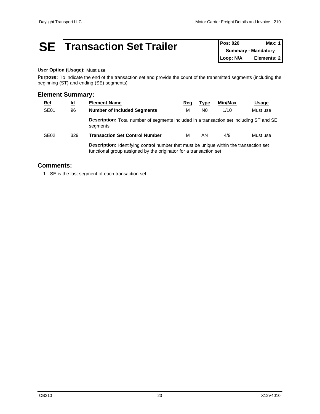### **SE Transaction Set Trailer Pos: 020 Max: 1 Max: 1**

**Summary - Mandatory Loop: N/A Elements: 2**

#### **User Option (Usage):** Must use

**Purpose:** To indicate the end of the transaction set and provide the count of the transmitted segments (including the beginning (ST) and ending (SE) segments)

#### **Element Summary:**

| <b>Ref</b>       | $\underline{\mathsf{Id}}$ | <b>Element Name</b>                                                                                        | Req                                                                                           | Гуре           | Min/Max | <u>Usage</u> |  |  |
|------------------|---------------------------|------------------------------------------------------------------------------------------------------------|-----------------------------------------------------------------------------------------------|----------------|---------|--------------|--|--|
| SE <sub>01</sub> | 96                        | <b>Number of Included Segments</b>                                                                         | м                                                                                             | N <sub>0</sub> | 1/10    | Must use     |  |  |
|                  |                           | <b>Description:</b> Total number of segments included in a transaction set including ST and SE<br>segments |                                                                                               |                |         |              |  |  |
| SE <sub>02</sub> | 329                       | <b>Transaction Set Control Number</b>                                                                      | М                                                                                             | AN             | 4/9     | Must use     |  |  |
|                  |                           | functional group assigned by the originator for a transaction set                                          | <b>Description:</b> Identifying control number that must be unique within the transaction set |                |         |              |  |  |

#### **Comments:**

1. SE is the last segment of each transaction set.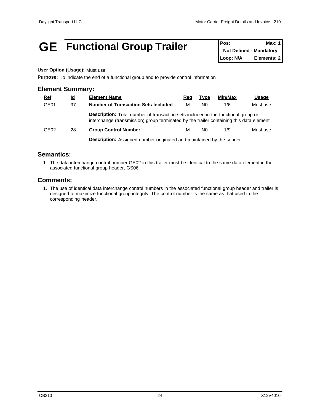### **GE** Functional Group Trailer **Pos:** Max: 1

**Not Defined - Mandatory Loop: N/A Elements: 2**

#### **User Option (Usage):** Must use

**Purpose:** To indicate the end of a functional group and to provide control information

#### **Element Summary:**

| <b>Ref</b>       | <u>ld</u> | <b>Element Name</b>                                                                                                                                                                 | Req | Type           | Min/Max | <u>Usage</u> |  |  |  |
|------------------|-----------|-------------------------------------------------------------------------------------------------------------------------------------------------------------------------------------|-----|----------------|---------|--------------|--|--|--|
| GE01             | 97        | <b>Number of Transaction Sets Included</b>                                                                                                                                          | м   | N <sub>0</sub> | 1/6     | Must use     |  |  |  |
|                  |           | <b>Description:</b> Total number of transaction sets included in the functional group or<br>interchange (transmission) group terminated by the trailer containing this data element |     |                |         |              |  |  |  |
| GE <sub>02</sub> | 28        | <b>Group Control Number</b>                                                                                                                                                         | м   | N <sub>0</sub> | 1/9     | Must use     |  |  |  |
|                  |           | <b>Description:</b> Assigned number originated and maintained by the sender                                                                                                         |     |                |         |              |  |  |  |

#### **Semantics:**

1. The data interchange control number GE02 in this trailer must be identical to the same data element in the associated functional group header, GS06.

#### **Comments:**

1. The use of identical data interchange control numbers in the associated functional group header and trailer is designed to maximize functional group integrity. The control number is the same as that used in the corresponding header.